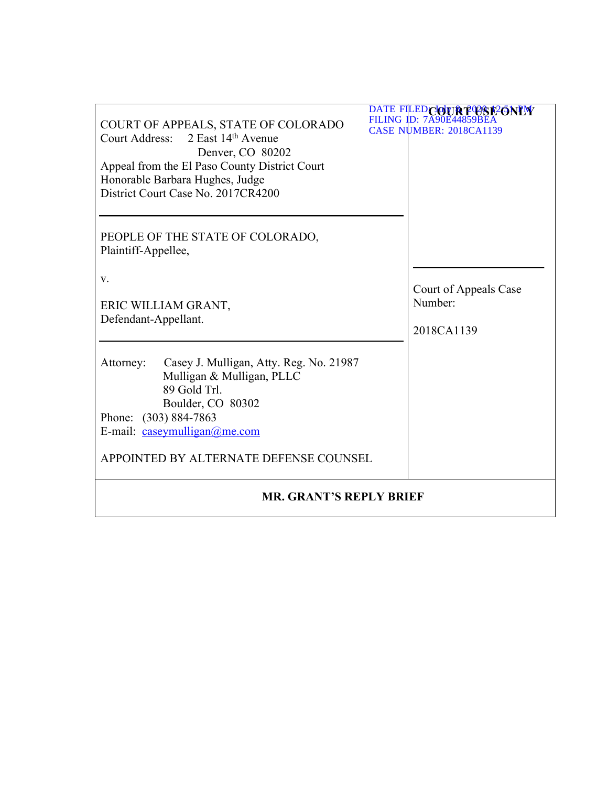| COURT OF APPEALS, STATE OF COLORADO<br>Court Address: 2 East 14th Avenue<br>Denver, CO 80202<br>Appeal from the El Paso County District Court<br>Honorable Barbara Hughes, Judge<br>District Court Case No. 2017CR4200    | DATE FILED COUR POSE PONEW<br><b>FILING ID: 7A90E4485</b><br>CASE NUMBER: 2018CA1139 |  |
|---------------------------------------------------------------------------------------------------------------------------------------------------------------------------------------------------------------------------|--------------------------------------------------------------------------------------|--|
| PEOPLE OF THE STATE OF COLORADO,<br>Plaintiff-Appellee,                                                                                                                                                                   |                                                                                      |  |
| V.<br>ERIC WILLIAM GRANT,<br>Defendant-Appellant.                                                                                                                                                                         | Court of Appeals Case<br>Number:<br>2018CA1139                                       |  |
| Casey J. Mulligan, Atty. Reg. No. 21987<br>Attorney:<br>Mulligan & Mulligan, PLLC<br>89 Gold Trl.<br>Boulder, CO 80302<br>Phone: (303) 884-7863<br>E-mail: caseymulligan@me.com<br>APPOINTED BY ALTERNATE DEFENSE COUNSEL |                                                                                      |  |
| <b>MR. GRANT'S REPLY BRIEF</b>                                                                                                                                                                                            |                                                                                      |  |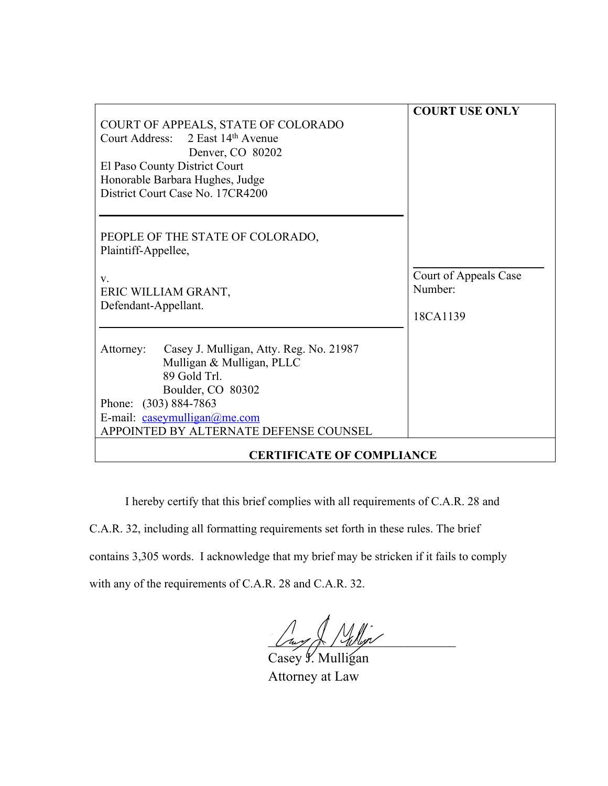| COURT OF APPEALS, STATE OF COLORADO<br>Court Address: 2 East 14th Avenue<br>Denver, CO 80202<br>El Paso County District Court<br>Honorable Barbara Hughes, Judge<br>District Court Case No. 17CR4200                      | <b>COURT USE ONLY</b>                        |
|---------------------------------------------------------------------------------------------------------------------------------------------------------------------------------------------------------------------------|----------------------------------------------|
| PEOPLE OF THE STATE OF COLORADO,<br>Plaintiff-Appellee,<br>V.<br>ERIC WILLIAM GRANT,<br>Defendant-Appellant.                                                                                                              | Court of Appeals Case<br>Number:<br>18CA1139 |
| Casey J. Mulligan, Atty. Reg. No. 21987<br>Attorney:<br>Mulligan & Mulligan, PLLC<br>89 Gold Trl.<br>Boulder, CO 80302<br>Phone: (303) 884-7863<br>E-mail: caseymulligan@me.com<br>APPOINTED BY ALTERNATE DEFENSE COUNSEL |                                              |
| <b>CERTIFICATE OF COMPLIANCE</b>                                                                                                                                                                                          |                                              |

I hereby certify that this brief complies with all requirements of C.A.R. 28 and C.A.R. 32, including all formatting requirements set forth in these rules. The brief contains 3,305 words. I acknowledge that my brief may be stricken if it fails to comply with any of the requirements of C.A.R. 28 and C.A.R. 32.

 $\frac{1}{2}$  of  $\frac{1}{2}$   $\frac{1}{2}$ 

Casey y. Mulligan Attorney at Law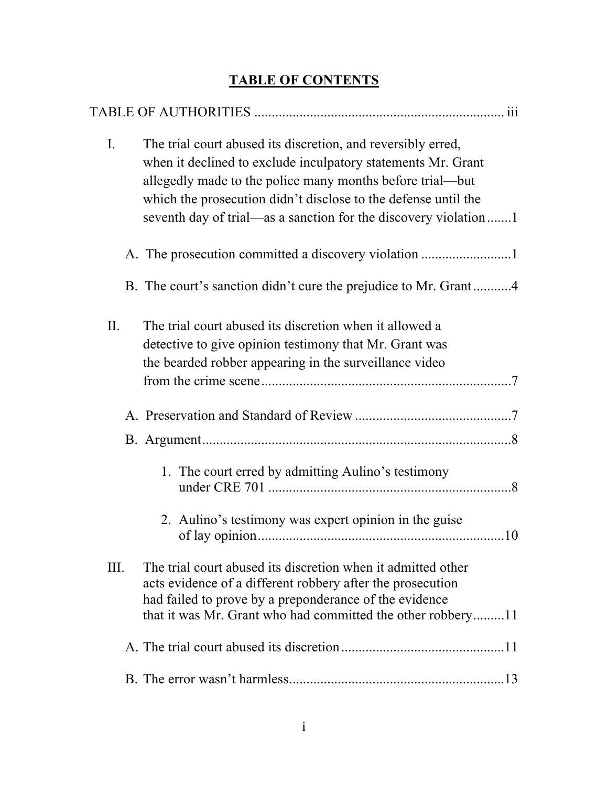# **TABLE OF CONTENTS**

| $\mathbf{I}$ . | The trial court abused its discretion, and reversibly erred,<br>when it declined to exclude inculpatory statements Mr. Grant<br>allegedly made to the police many months before trial—but<br>which the prosecution didn't disclose to the defense until the<br>seventh day of trial—as a sanction for the discovery violation1 |
|----------------|--------------------------------------------------------------------------------------------------------------------------------------------------------------------------------------------------------------------------------------------------------------------------------------------------------------------------------|
|                |                                                                                                                                                                                                                                                                                                                                |
|                | B. The court's sanction didn't cure the prejudice to Mr. Grant4                                                                                                                                                                                                                                                                |
| II.            | The trial court abused its discretion when it allowed a<br>detective to give opinion testimony that Mr. Grant was<br>the bearded robber appearing in the surveillance video                                                                                                                                                    |
|                |                                                                                                                                                                                                                                                                                                                                |
|                |                                                                                                                                                                                                                                                                                                                                |
|                | 1. The court erred by admitting Aulino's testimony<br>2. Aulino's testimony was expert opinion in the guise                                                                                                                                                                                                                    |
| Ш.             | The trial court abused its discretion when it admitted other<br>acts evidence of a different robbery after the prosecution<br>had failed to prove by a preponderance of the evidence<br>that it was Mr. Grant who had committed the other robbery11                                                                            |
|                |                                                                                                                                                                                                                                                                                                                                |
|                |                                                                                                                                                                                                                                                                                                                                |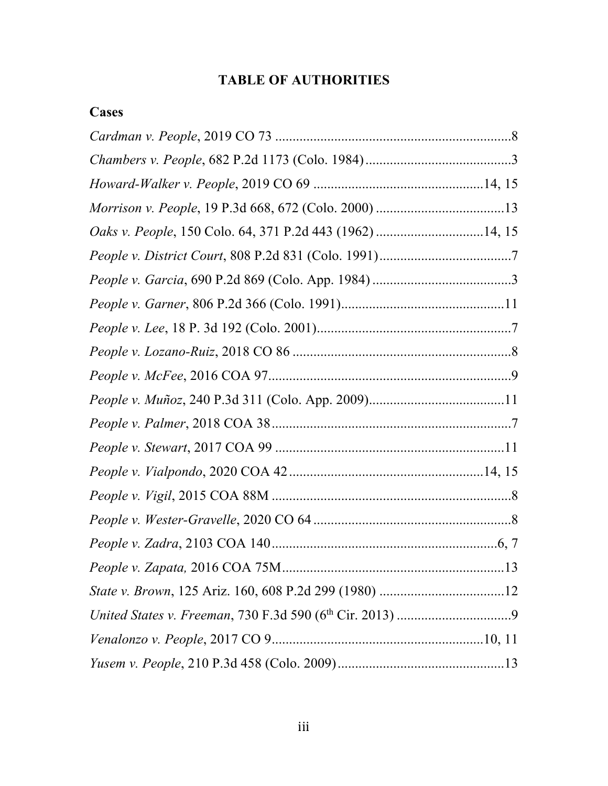# **TABLE OF AUTHORITIES**

## **Cases**

| Oaks v. People, 150 Colo. 64, 371 P.2d 443 (1962) 14, 15 |  |
|----------------------------------------------------------|--|
|                                                          |  |
|                                                          |  |
|                                                          |  |
|                                                          |  |
|                                                          |  |
|                                                          |  |
|                                                          |  |
|                                                          |  |
|                                                          |  |
|                                                          |  |
|                                                          |  |
|                                                          |  |
|                                                          |  |
|                                                          |  |
|                                                          |  |
|                                                          |  |
|                                                          |  |
|                                                          |  |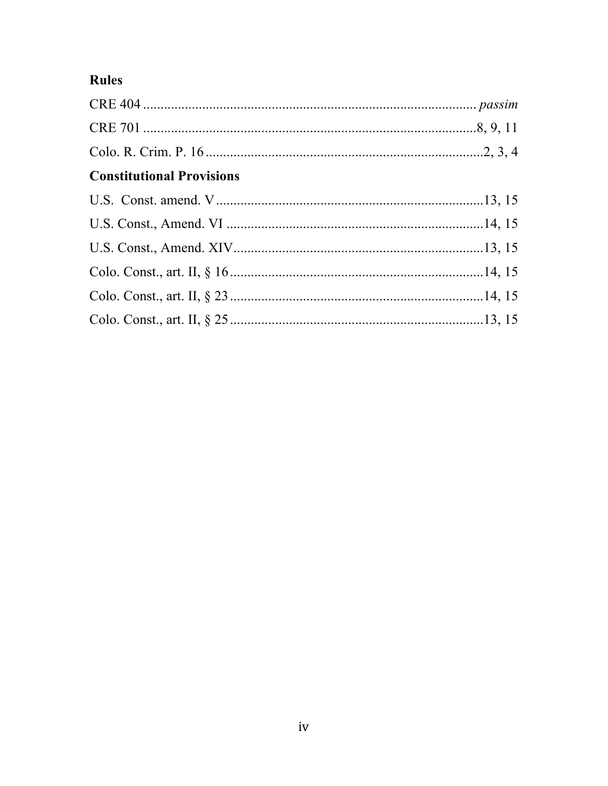# Rules

| <b>Constitutional Provisions</b> |  |
|----------------------------------|--|
|                                  |  |
|                                  |  |
|                                  |  |
|                                  |  |
|                                  |  |
|                                  |  |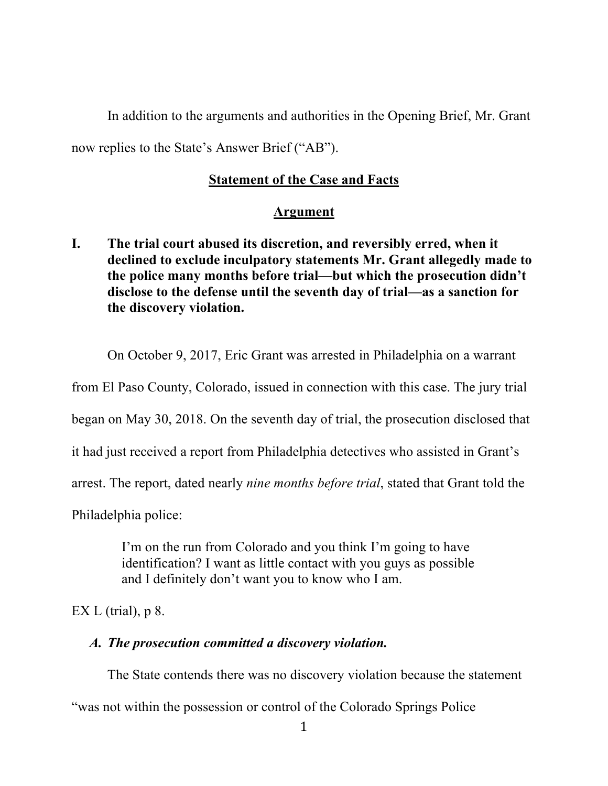In addition to the arguments and authorities in the Opening Brief, Mr. Grant now replies to the State's Answer Brief ("AB").

### **Statement of the Case and Facts**

#### **Argument**

**I. The trial court abused its discretion, and reversibly erred, when it declined to exclude inculpatory statements Mr. Grant allegedly made to the police many months before trial—but which the prosecution didn't disclose to the defense until the seventh day of trial—as a sanction for the discovery violation.**

On October 9, 2017, Eric Grant was arrested in Philadelphia on a warrant

from El Paso County, Colorado, issued in connection with this case. The jury trial

began on May 30, 2018. On the seventh day of trial, the prosecution disclosed that

it had just received a report from Philadelphia detectives who assisted in Grant's

arrest. The report, dated nearly *nine months before trial*, stated that Grant told the

Philadelphia police:

I'm on the run from Colorado and you think I'm going to have identification? I want as little contact with you guys as possible and I definitely don't want you to know who I am.

EX L (trial),  $p \&$ .

#### *A. The prosecution committed a discovery violation.*

The State contends there was no discovery violation because the statement "was not within the possession or control of the Colorado Springs Police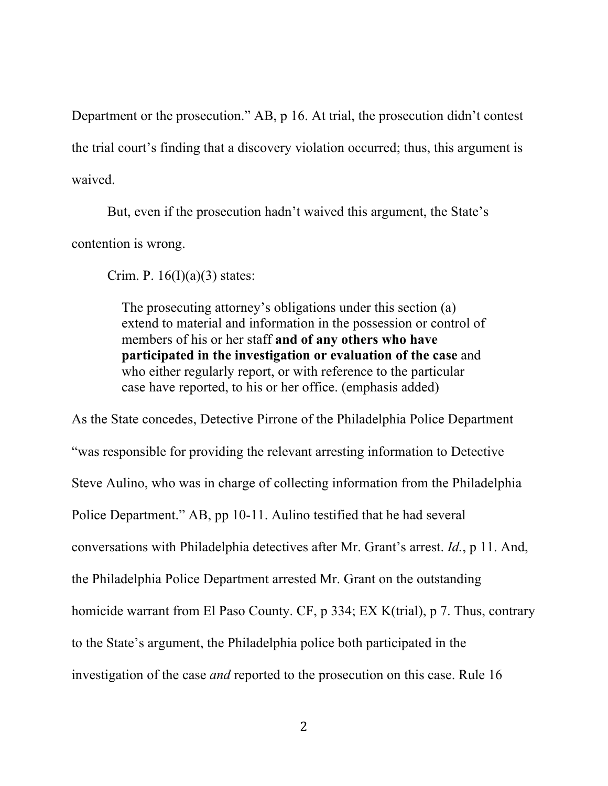Department or the prosecution." AB, p 16. At trial, the prosecution didn't contest the trial court's finding that a discovery violation occurred; thus, this argument is waived.

But, even if the prosecution hadn't waived this argument, the State's contention is wrong.

Crim. P.  $16(I)(a)(3)$  states:

The prosecuting attorney's obligations under this section (a) extend to material and information in the possession or control of members of his or her staff **and of any others who have participated in the investigation or evaluation of the case** and who either regularly report, or with reference to the particular case have reported, to his or her office. (emphasis added)

As the State concedes, Detective Pirrone of the Philadelphia Police Department "was responsible for providing the relevant arresting information to Detective Steve Aulino, who was in charge of collecting information from the Philadelphia Police Department." AB, pp 10-11. Aulino testified that he had several conversations with Philadelphia detectives after Mr. Grant's arrest. *Id.*, p 11. And, the Philadelphia Police Department arrested Mr. Grant on the outstanding homicide warrant from El Paso County. CF, p 334; EX K(trial), p 7. Thus, contrary to the State's argument, the Philadelphia police both participated in the investigation of the case *and* reported to the prosecution on this case. Rule 16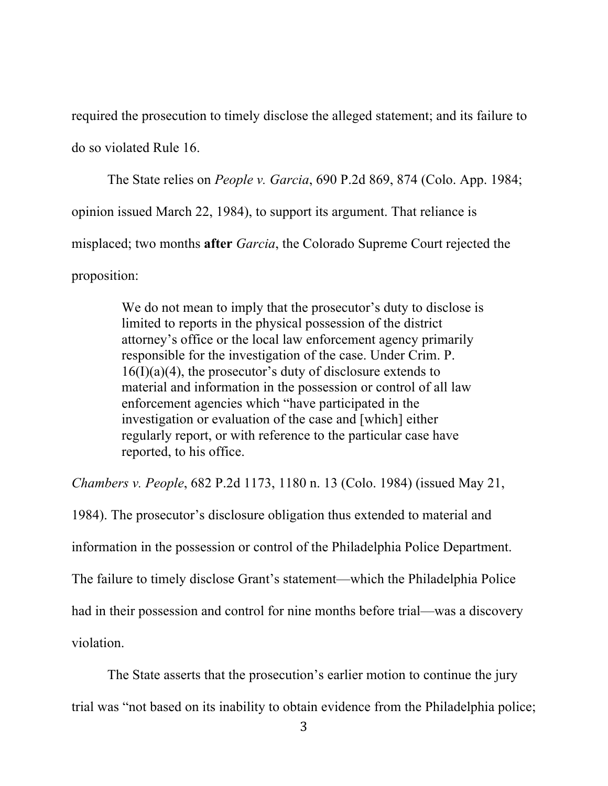required the prosecution to timely disclose the alleged statement; and its failure to do so violated Rule 16.

The State relies on *People v. Garcia*, 690 P.2d 869, 874 (Colo. App. 1984; opinion issued March 22, 1984), to support its argument. That reliance is misplaced; two months **after** *Garcia*, the Colorado Supreme Court rejected the proposition:

> We do not mean to imply that the prosecutor's duty to disclose is limited to reports in the physical possession of the district attorney's office or the local law enforcement agency primarily responsible for the investigation of the case. Under Crim. P.  $16(I)(a)(4)$ , the prosecutor's duty of disclosure extends to material and information in the possession or control of all law enforcement agencies which "have participated in the investigation or evaluation of the case and [which] either regularly report, or with reference to the particular case have reported, to his office.

*Chambers v. People*, 682 P.2d 1173, 1180 n. 13 (Colo. 1984) (issued May 21,

1984). The prosecutor's disclosure obligation thus extended to material and information in the possession or control of the Philadelphia Police Department. The failure to timely disclose Grant's statement—which the Philadelphia Police had in their possession and control for nine months before trial—was a discovery violation.

The State asserts that the prosecution's earlier motion to continue the jury trial was "not based on its inability to obtain evidence from the Philadelphia police;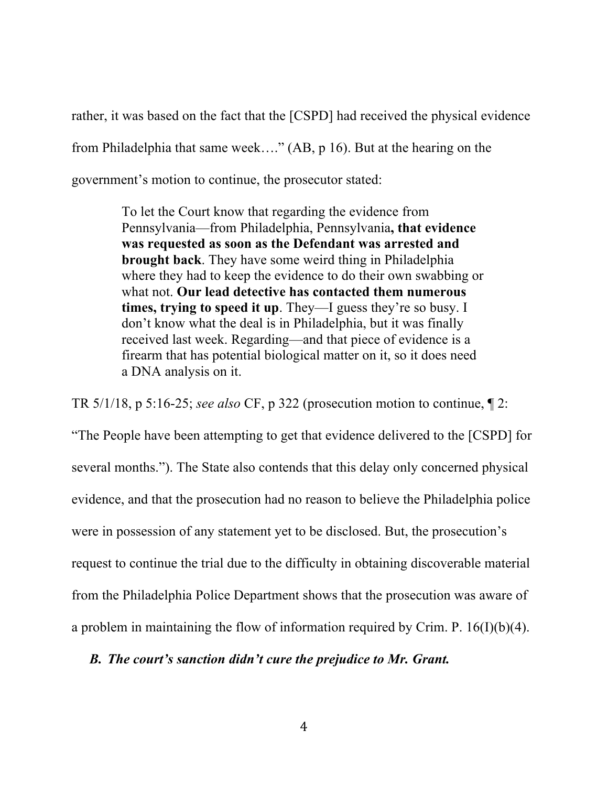rather, it was based on the fact that the [CSPD] had received the physical evidence from Philadelphia that same week…." (AB, p 16). But at the hearing on the government's motion to continue, the prosecutor stated:

> To let the Court know that regarding the evidence from Pennsylvania—from Philadelphia, Pennsylvania**, that evidence was requested as soon as the Defendant was arrested and brought back**. They have some weird thing in Philadelphia where they had to keep the evidence to do their own swabbing or what not. **Our lead detective has contacted them numerous times, trying to speed it up**. They—I guess they're so busy. I don't know what the deal is in Philadelphia, but it was finally received last week. Regarding—and that piece of evidence is a firearm that has potential biological matter on it, so it does need a DNA analysis on it.

TR 5/1/18, p 5:16-25; *see also* CF, p 322 (prosecution motion to continue, ¶ 2:

"The People have been attempting to get that evidence delivered to the [CSPD] for several months."). The State also contends that this delay only concerned physical evidence, and that the prosecution had no reason to believe the Philadelphia police were in possession of any statement yet to be disclosed. But, the prosecution's request to continue the trial due to the difficulty in obtaining discoverable material from the Philadelphia Police Department shows that the prosecution was aware of a problem in maintaining the flow of information required by Crim. P.  $16(I)(b)(4)$ .

#### *B. The court's sanction didn't cure the prejudice to Mr. Grant.*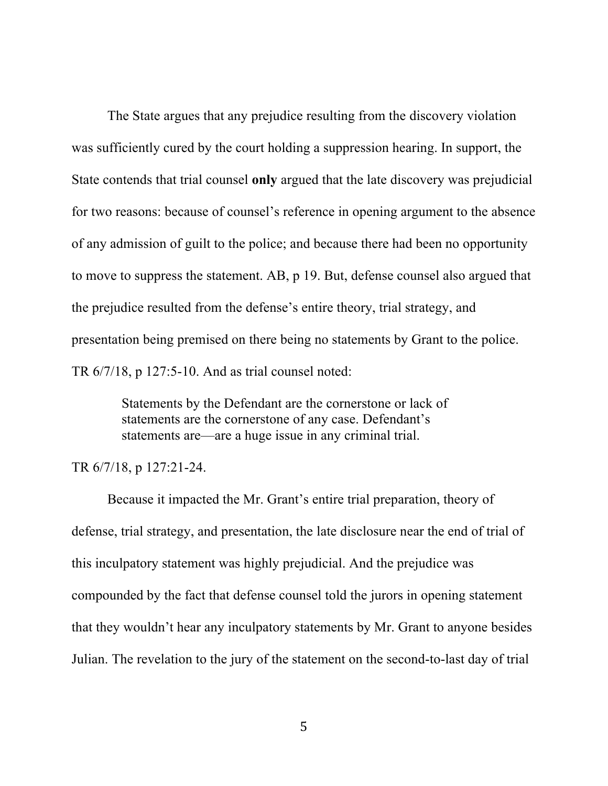The State argues that any prejudice resulting from the discovery violation was sufficiently cured by the court holding a suppression hearing. In support, the State contends that trial counsel **only** argued that the late discovery was prejudicial for two reasons: because of counsel's reference in opening argument to the absence of any admission of guilt to the police; and because there had been no opportunity to move to suppress the statement. AB, p 19. But, defense counsel also argued that the prejudice resulted from the defense's entire theory, trial strategy, and presentation being premised on there being no statements by Grant to the police. TR 6/7/18, p 127:5-10. And as trial counsel noted:

> Statements by the Defendant are the cornerstone or lack of statements are the cornerstone of any case. Defendant's statements are—are a huge issue in any criminal trial.

TR 6/7/18, p 127:21-24.

Because it impacted the Mr. Grant's entire trial preparation, theory of defense, trial strategy, and presentation, the late disclosure near the end of trial of this inculpatory statement was highly prejudicial. And the prejudice was compounded by the fact that defense counsel told the jurors in opening statement that they wouldn't hear any inculpatory statements by Mr. Grant to anyone besides Julian. The revelation to the jury of the statement on the second-to-last day of trial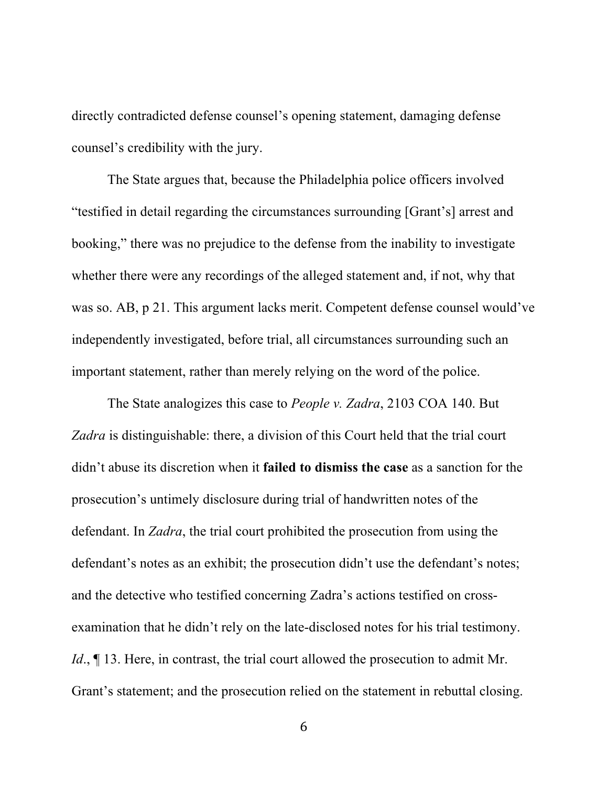directly contradicted defense counsel's opening statement, damaging defense counsel's credibility with the jury.

The State argues that, because the Philadelphia police officers involved "testified in detail regarding the circumstances surrounding [Grant's] arrest and booking," there was no prejudice to the defense from the inability to investigate whether there were any recordings of the alleged statement and, if not, why that was so. AB, p 21. This argument lacks merit. Competent defense counsel would've independently investigated, before trial, all circumstances surrounding such an important statement, rather than merely relying on the word of the police.

The State analogizes this case to *People v. Zadra*, 2103 COA 140. But *Zadra* is distinguishable: there, a division of this Court held that the trial court didn't abuse its discretion when it **failed to dismiss the case** as a sanction for the prosecution's untimely disclosure during trial of handwritten notes of the defendant. In *Zadra*, the trial court prohibited the prosecution from using the defendant's notes as an exhibit; the prosecution didn't use the defendant's notes; and the detective who testified concerning Zadra's actions testified on crossexamination that he didn't rely on the late-disclosed notes for his trial testimony. *Id.*,  $\P$  13. Here, in contrast, the trial court allowed the prosecution to admit Mr. Grant's statement; and the prosecution relied on the statement in rebuttal closing.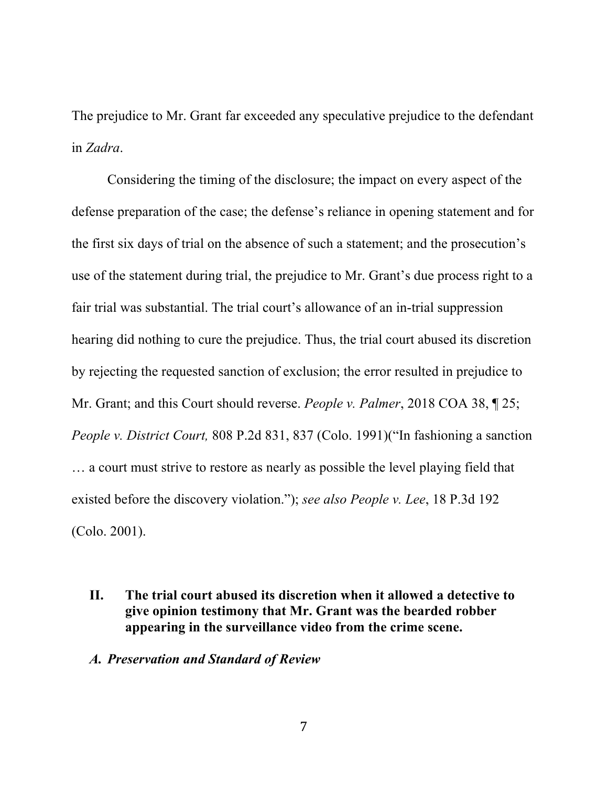The prejudice to Mr. Grant far exceeded any speculative prejudice to the defendant in *Zadra*.

Considering the timing of the disclosure; the impact on every aspect of the defense preparation of the case; the defense's reliance in opening statement and for the first six days of trial on the absence of such a statement; and the prosecution's use of the statement during trial, the prejudice to Mr. Grant's due process right to a fair trial was substantial. The trial court's allowance of an in-trial suppression hearing did nothing to cure the prejudice. Thus, the trial court abused its discretion by rejecting the requested sanction of exclusion; the error resulted in prejudice to Mr. Grant; and this Court should reverse. *People v. Palmer*, 2018 COA 38, ¶ 25; *People v. District Court,* 808 P.2d 831, 837 (Colo. 1991)("In fashioning a sanction … a court must strive to restore as nearly as possible the level playing field that existed before the discovery violation."); *see also People v. Lee*, 18 P.3d 192 (Colo. 2001).

- **II. The trial court abused its discretion when it allowed a detective to give opinion testimony that Mr. Grant was the bearded robber appearing in the surveillance video from the crime scene.**
- *A. Preservation and Standard of Review*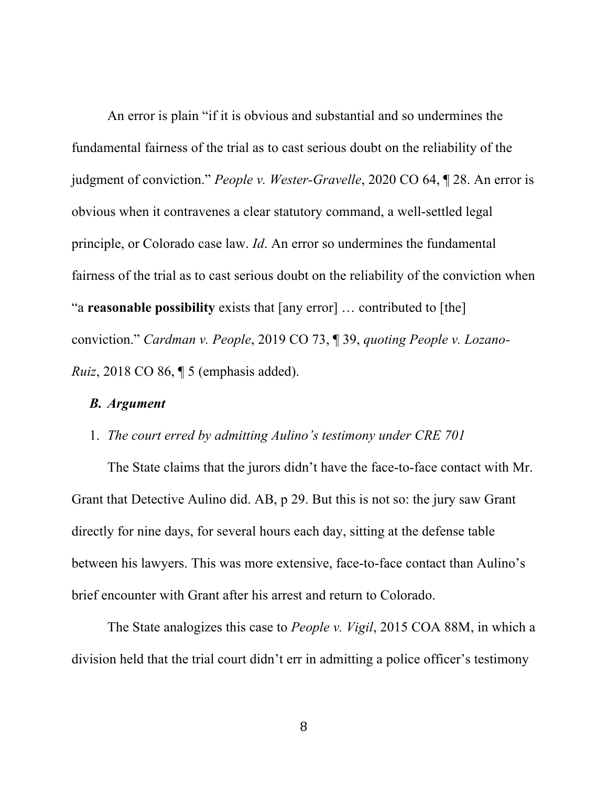An error is plain "if it is obvious and substantial and so undermines the fundamental fairness of the trial as to cast serious doubt on the reliability of the judgment of conviction." *People v. Wester-Gravelle*, 2020 CO 64, ¶ 28. An error is obvious when it contravenes a clear statutory command, a well-settled legal principle, or Colorado case law. *Id*. An error so undermines the fundamental fairness of the trial as to cast serious doubt on the reliability of the conviction when "a **reasonable possibility** exists that [any error] … contributed to [the] conviction." *Cardman v. People*, 2019 CO 73, ¶ 39, *quoting People v. Lozano-Ruiz*, 2018 CO 86, ¶ 5 (emphasis added).

#### *B. Argument*

#### 1. *The court erred by admitting Aulino's testimony under CRE 701*

The State claims that the jurors didn't have the face-to-face contact with Mr. Grant that Detective Aulino did. AB, p 29. But this is not so: the jury saw Grant directly for nine days, for several hours each day, sitting at the defense table between his lawyers. This was more extensive, face-to-face contact than Aulino's brief encounter with Grant after his arrest and return to Colorado.

The State analogizes this case to *People v. Vigil*, 2015 COA 88M, in which a division held that the trial court didn't err in admitting a police officer's testimony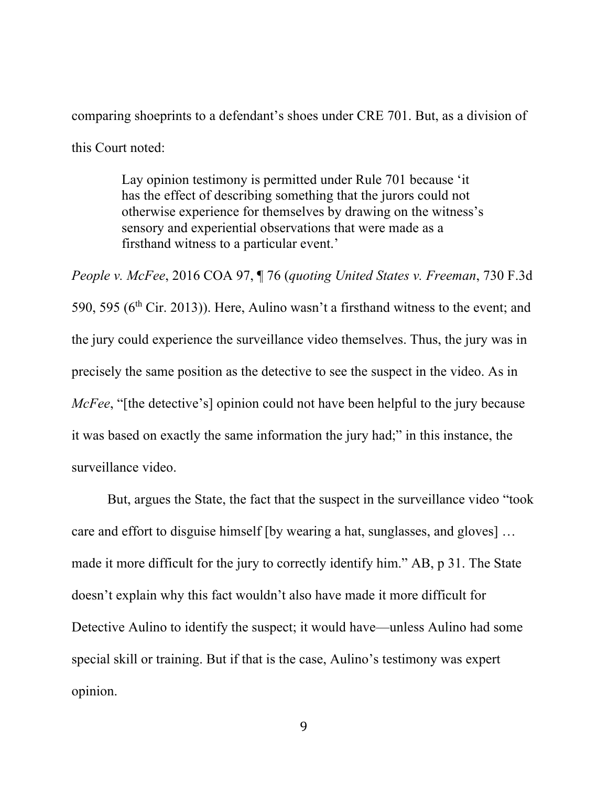comparing shoeprints to a defendant's shoes under CRE 701. But, as a division of this Court noted:

> Lay opinion testimony is permitted under Rule 701 because 'it has the effect of describing something that the jurors could not otherwise experience for themselves by drawing on the witness's sensory and experiential observations that were made as a firsthand witness to a particular event.'

*People v. McFee*, 2016 COA 97, ¶ 76 (*quoting United States v. Freeman*, 730 F.3d 590, 595 ( $6<sup>th</sup>$  Cir. 2013)). Here, Aulino wasn't a firsthand witness to the event; and the jury could experience the surveillance video themselves. Thus, the jury was in precisely the same position as the detective to see the suspect in the video. As in *McFee*, "[the detective's] opinion could not have been helpful to the jury because it was based on exactly the same information the jury had;" in this instance, the surveillance video.

But, argues the State, the fact that the suspect in the surveillance video "took care and effort to disguise himself [by wearing a hat, sunglasses, and gloves] … made it more difficult for the jury to correctly identify him." AB, p 31. The State doesn't explain why this fact wouldn't also have made it more difficult for Detective Aulino to identify the suspect; it would have—unless Aulino had some special skill or training. But if that is the case, Aulino's testimony was expert opinion.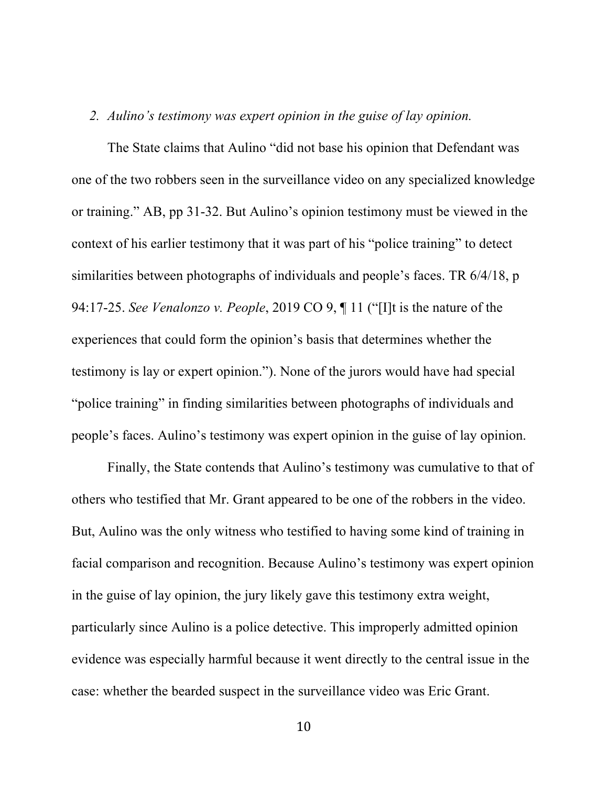#### *2. Aulino's testimony was expert opinion in the guise of lay opinion.*

The State claims that Aulino "did not base his opinion that Defendant was one of the two robbers seen in the surveillance video on any specialized knowledge or training." AB, pp 31-32. But Aulino's opinion testimony must be viewed in the context of his earlier testimony that it was part of his "police training" to detect similarities between photographs of individuals and people's faces. TR 6/4/18, p 94:17-25. *See Venalonzo v. People*, 2019 CO 9, ¶ 11 ("[I]t is the nature of the experiences that could form the opinion's basis that determines whether the testimony is lay or expert opinion."). None of the jurors would have had special "police training" in finding similarities between photographs of individuals and people's faces. Aulino's testimony was expert opinion in the guise of lay opinion.

Finally, the State contends that Aulino's testimony was cumulative to that of others who testified that Mr. Grant appeared to be one of the robbers in the video. But, Aulino was the only witness who testified to having some kind of training in facial comparison and recognition. Because Aulino's testimony was expert opinion in the guise of lay opinion, the jury likely gave this testimony extra weight, particularly since Aulino is a police detective. This improperly admitted opinion evidence was especially harmful because it went directly to the central issue in the case: whether the bearded suspect in the surveillance video was Eric Grant.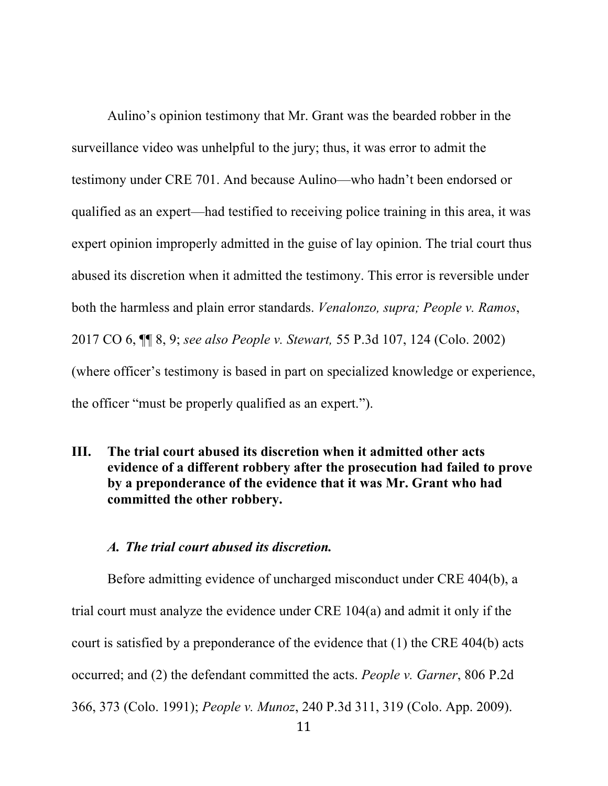Aulino's opinion testimony that Mr. Grant was the bearded robber in the surveillance video was unhelpful to the jury; thus, it was error to admit the testimony under CRE 701. And because Aulino—who hadn't been endorsed or qualified as an expert—had testified to receiving police training in this area, it was expert opinion improperly admitted in the guise of lay opinion. The trial court thus abused its discretion when it admitted the testimony. This error is reversible under both the harmless and plain error standards. *Venalonzo, supra; People v. Ramos*, 2017 CO 6, ¶¶ 8, 9; *see also People v. Stewart,* 55 P.3d 107, 124 (Colo. 2002) (where officer's testimony is based in part on specialized knowledge or experience, the officer "must be properly qualified as an expert.").

**III. The trial court abused its discretion when it admitted other acts evidence of a different robbery after the prosecution had failed to prove by a preponderance of the evidence that it was Mr. Grant who had committed the other robbery.**

### *A. The trial court abused its discretion.*

Before admitting evidence of uncharged misconduct under CRE 404(b), a trial court must analyze the evidence under CRE 104(a) and admit it only if the court is satisfied by a preponderance of the evidence that (1) the CRE 404(b) acts occurred; and (2) the defendant committed the acts. *People v. Garner*, 806 P.2d 366, 373 (Colo. 1991); *People v. Munoz*, 240 P.3d 311, 319 (Colo. App. 2009).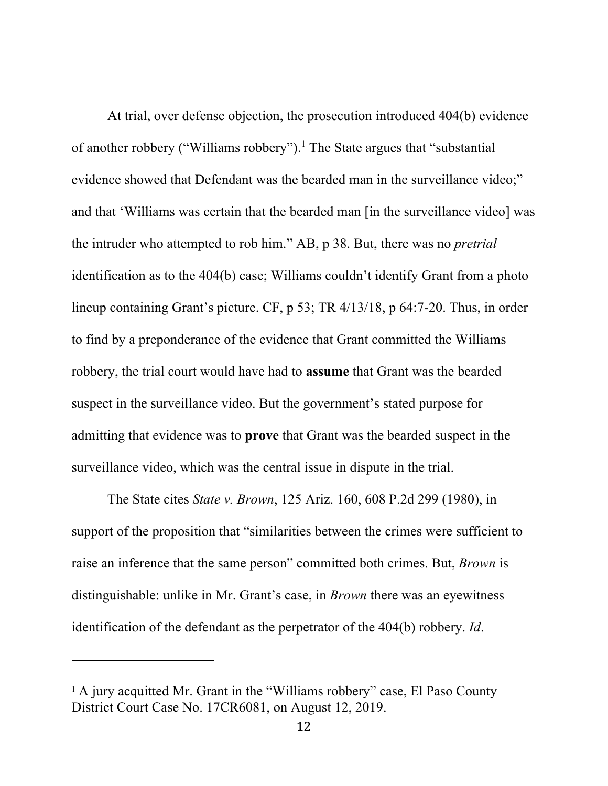At trial, over defense objection, the prosecution introduced 404(b) evidence of another robbery ("Williams robbery").1 The State argues that "substantial evidence showed that Defendant was the bearded man in the surveillance video;" and that 'Williams was certain that the bearded man [in the surveillance video] was the intruder who attempted to rob him." AB, p 38. But, there was no *pretrial* identification as to the 404(b) case; Williams couldn't identify Grant from a photo lineup containing Grant's picture. CF, p 53; TR 4/13/18, p 64:7-20. Thus, in order to find by a preponderance of the evidence that Grant committed the Williams robbery, the trial court would have had to **assume** that Grant was the bearded suspect in the surveillance video. But the government's stated purpose for admitting that evidence was to **prove** that Grant was the bearded suspect in the surveillance video, which was the central issue in dispute in the trial.

The State cites *State v. Brown*, 125 Ariz. 160, 608 P.2d 299 (1980), in support of the proposition that "similarities between the crimes were sufficient to raise an inference that the same person" committed both crimes. But, *Brown* is distinguishable: unlike in Mr. Grant's case, in *Brown* there was an eyewitness identification of the defendant as the perpetrator of the 404(b) robbery. *Id*.

<sup>&</sup>lt;sup>1</sup> A jury acquitted Mr. Grant in the "Williams robbery" case, El Paso County District Court Case No. 17CR6081, on August 12, 2019.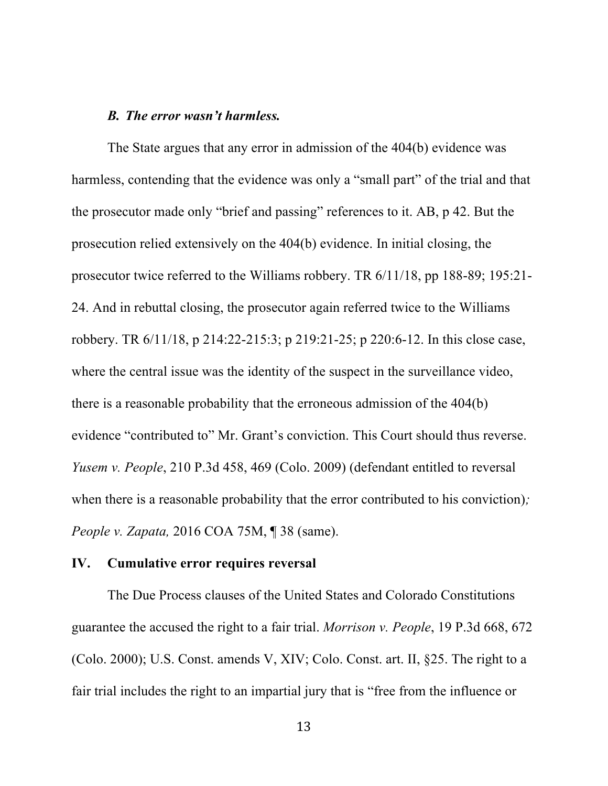#### *B. The error wasn't harmless.*

The State argues that any error in admission of the 404(b) evidence was harmless, contending that the evidence was only a "small part" of the trial and that the prosecutor made only "brief and passing" references to it. AB, p 42. But the prosecution relied extensively on the 404(b) evidence. In initial closing, the prosecutor twice referred to the Williams robbery. TR 6/11/18, pp 188-89; 195:21- 24. And in rebuttal closing, the prosecutor again referred twice to the Williams robbery. TR 6/11/18, p 214:22-215:3; p 219:21-25; p 220:6-12. In this close case, where the central issue was the identity of the suspect in the surveillance video, there is a reasonable probability that the erroneous admission of the 404(b) evidence "contributed to" Mr. Grant's conviction. This Court should thus reverse. *Yusem v. People*, 210 P.3d 458, 469 (Colo. 2009) (defendant entitled to reversal when there is a reasonable probability that the error contributed to his conviction)*; People v. Zapata,* 2016 COA 75M, ¶ 38 (same).

## **IV. Cumulative error requires reversal**

The Due Process clauses of the United States and Colorado Constitutions guarantee the accused the right to a fair trial. *Morrison v. People*, 19 P.3d 668, 672 (Colo. 2000); U.S. Const. amends V, XIV; Colo. Const. art. II, §25. The right to a fair trial includes the right to an impartial jury that is "free from the influence or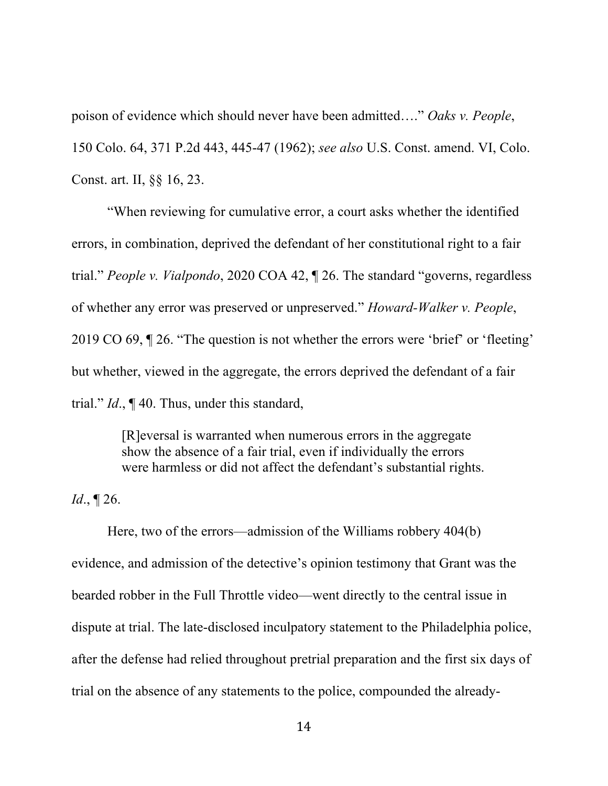poison of evidence which should never have been admitted…." *Oaks v. People*, 150 Colo. 64, 371 P.2d 443, 445-47 (1962); *see also* U.S. Const. amend. VI, Colo. Const. art. II, §§ 16, 23.

"When reviewing for cumulative error, a court asks whether the identified errors, in combination, deprived the defendant of her constitutional right to a fair trial." *People v. Vialpondo*, 2020 COA 42, ¶ 26. The standard "governs, regardless of whether any error was preserved or unpreserved." *Howard-Walker v. People*, 2019 CO 69, ¶ 26. "The question is not whether the errors were 'brief' or 'fleeting' but whether, viewed in the aggregate, the errors deprived the defendant of a fair trial." *Id*., ¶ 40. Thus, under this standard,

> [R]eversal is warranted when numerous errors in the aggregate show the absence of a fair trial, even if individually the errors were harmless or did not affect the defendant's substantial rights.

*Id*., ¶ 26.

Here, two of the errors—admission of the Williams robbery 404(b) evidence, and admission of the detective's opinion testimony that Grant was the bearded robber in the Full Throttle video—went directly to the central issue in dispute at trial. The late-disclosed inculpatory statement to the Philadelphia police, after the defense had relied throughout pretrial preparation and the first six days of trial on the absence of any statements to the police, compounded the already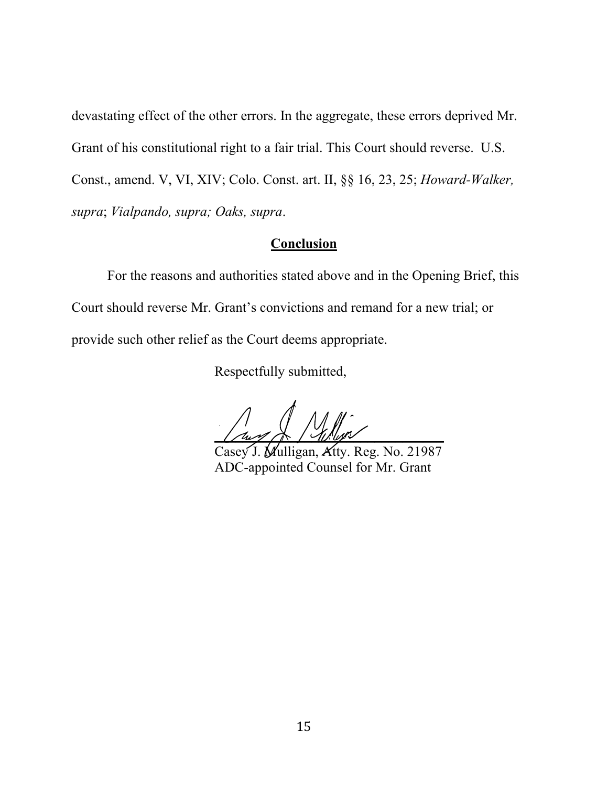devastating effect of the other errors. In the aggregate, these errors deprived Mr. Grant of his constitutional right to a fair trial. This Court should reverse. U.S. Const., amend. V, VI, XIV; Colo. Const. art. II, §§ 16, 23, 25; *Howard-Walker, supra*; *Vialpando, supra; Oaks, supra*.

## **Conclusion**

For the reasons and authorities stated above and in the Opening Brief, this Court should reverse Mr. Grant's convictions and remand for a new trial; or provide such other relief as the Court deems appropriate.

Respectfully submitted,

 $\frac{1}{2}$ 

Casey J. Mulligan, Atty. Reg. No. 21987 ADC-appointed Counsel for Mr. Grant